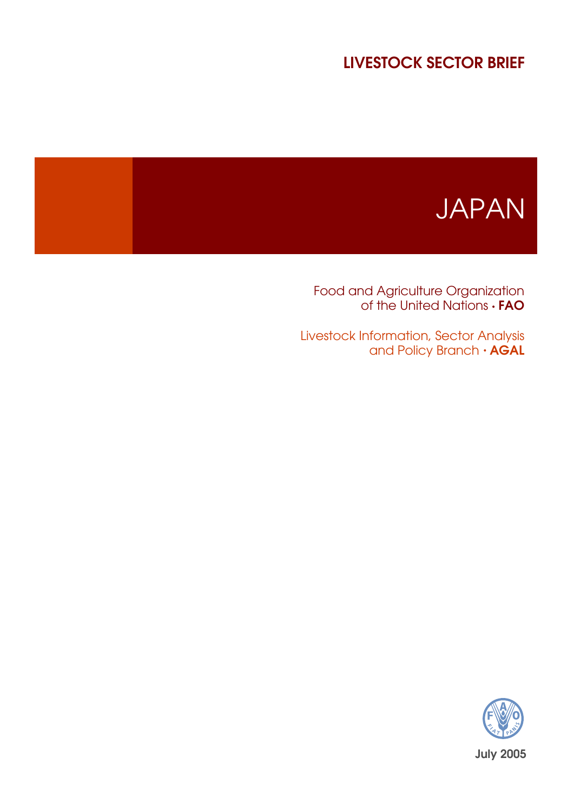## LIVESTOCK SECTOR BRIEF

# JAPAN

Food and Agriculture Organization of the United Nations  $\cdot$  **FAO** 

Livestock Information, Sector Analysis and Policy Branch  $\cdot$  AGAL

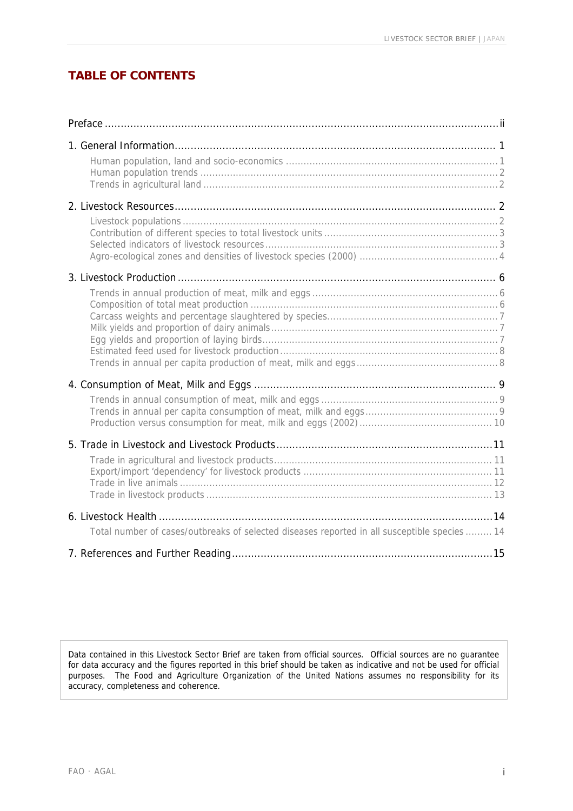## **TABLE OF CONTENTS**

| Total number of cases/outbreaks of selected diseases reported in all susceptible species  14 |  |
|----------------------------------------------------------------------------------------------|--|
|                                                                                              |  |

Data contained in this Livestock Sector Brief are taken from official sources. Official sources are no guarantee for data accuracy and the figures reported in this brief should be taken as indicative and not be used for official purposes. The Food and Agriculture Organization of the United Nations assumes no responsibility for its accuracy, completeness and coherence.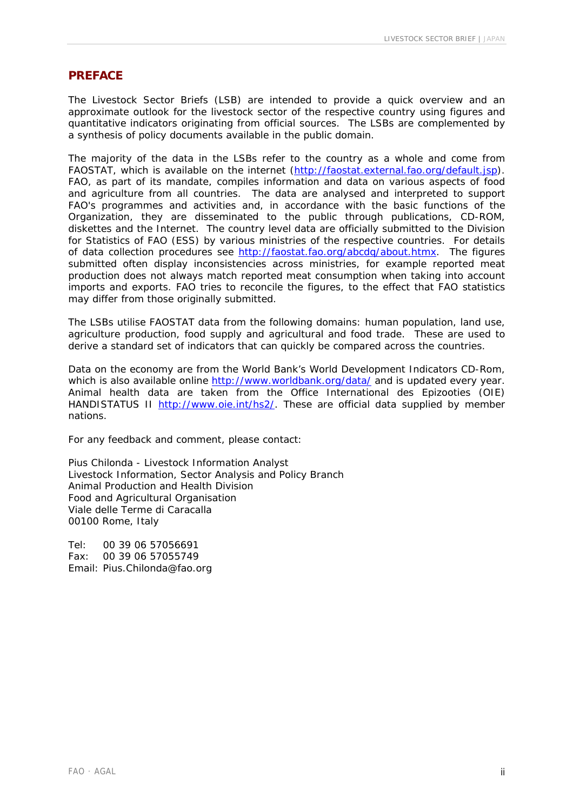#### **PREFACE**

The Livestock Sector Briefs (LSB) are intended to provide a quick overview and an approximate outlook for the livestock sector of the respective country using figures and quantitative indicators originating from official sources. The LSBs are complemented by a synthesis of policy documents available in the public domain.

The majority of the data in the LSBs refer to the country as a whole and come from FAOSTAT, which is available on the internet (<http://faostat.external.fao.org/default.jsp>). FAO, as part of its mandate, compiles information and data on various aspects of food and agriculture from all countries. The data are analysed and interpreted to support FAO's programmes and activities and, in accordance with the basic functions of the Organization, they are disseminated to the public through publications, CD-ROM, diskettes and the Internet. The country level data are officially submitted to the Division for Statistics of FAO (ESS) by various ministries of the respective countries. For details of data collection procedures see [http://faostat.fao.org/abcdq/about.htmx.](http://faostat.fao.org/abcdq/about.htmx) The figures submitted often display inconsistencies across ministries, for example reported meat production does not always match reported meat consumption when taking into account imports and exports. FAO tries to reconcile the figures, to the effect that FAO statistics may differ from those originally submitted.

The LSBs utilise FAOSTAT data from the following domains: human population, land use, agriculture production, food supply and agricultural and food trade. These are used to derive a standard set of indicators that can quickly be compared across the countries.

Data on the economy are from the World Bank's World Development Indicators CD-Rom, which is also available online <http://www.worldbank.org/data/>and is updated every year. Animal health data are taken from the Office International des Epizooties (OIE) HANDISTATUS II [http://www.oie.int/hs2/.](http://www.oie.int/hs2/) These are official data supplied by member nations.

For any feedback and comment, please contact:

Pius Chilonda - Livestock Information Analyst Livestock Information, Sector Analysis and Policy Branch Animal Production and Health Division Food and Agricultural Organisation Viale delle Terme di Caracalla 00100 Rome, Italy

Tel: 00 39 06 57056691 Fax: 00 39 06 57055749 Email: Pius.Chilonda@fao.org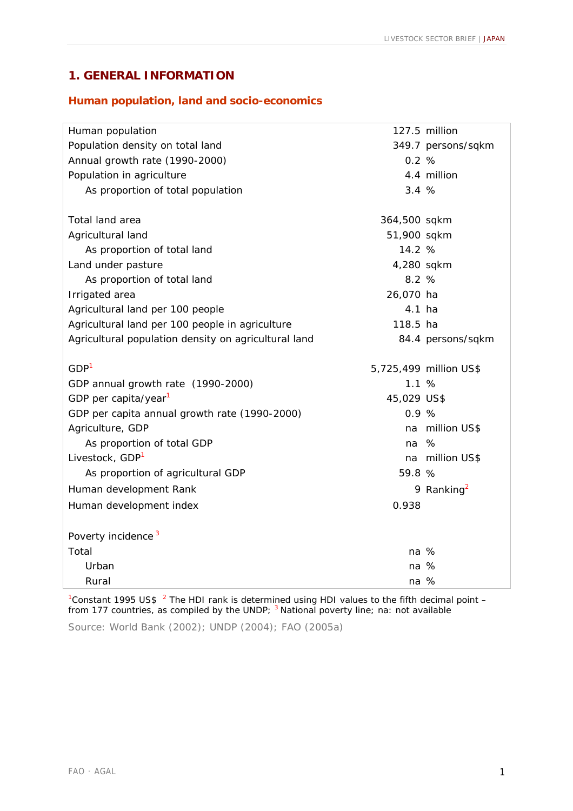## **1. GENERAL INFORMATION**

#### **Human population, land and socio-economics**

| Human population                                     |              | 127.5 million          |
|------------------------------------------------------|--------------|------------------------|
| Population density on total land                     |              | 349.7 persons/sqkm     |
| Annual growth rate (1990-2000)                       | 0.2%         |                        |
| Population in agriculture                            |              | 4.4 million            |
| As proportion of total population                    | 3.4%         |                        |
|                                                      |              |                        |
| Total land area                                      | 364,500 sqkm |                        |
| Agricultural land                                    | 51,900 sqkm  |                        |
| As proportion of total land                          | 14.2 %       |                        |
| Land under pasture                                   | 4,280 sqkm   |                        |
| As proportion of total land                          | 8.2%         |                        |
| Irrigated area                                       | 26,070 ha    |                        |
| Agricultural land per 100 people                     | 4.1 ha       |                        |
| Agricultural land per 100 people in agriculture      | 118.5 ha     |                        |
| Agricultural population density on agricultural land |              | 84.4 persons/sqkm      |
| GDP <sup>1</sup>                                     |              | 5,725,499 million US\$ |
| GDP annual growth rate (1990-2000)                   | 1.1%         |                        |
| GDP per capita/year <sup>1</sup>                     | 45,029 US\$  |                        |
| GDP per capita annual growth rate (1990-2000)        | 0.9%         |                        |
| Agriculture, GDP                                     | na           | million US\$           |
| As proportion of total GDP                           | na           | %                      |
| Livestock, GDP <sup>1</sup>                          |              | na million US\$        |
| As proportion of agricultural GDP                    | 59.8 %       |                        |
| Human development Rank                               |              | 9 Ranking <sup>2</sup> |
| Human development index                              | 0.938        |                        |
|                                                      |              |                        |
| Poverty incidence <sup>3</sup>                       |              |                        |
| Total                                                | na %         |                        |
| Urban                                                | na %         |                        |
| Rural                                                | na %         |                        |

<sup>1</sup> Constant 1995 US\$  $^{-2}$  The HDI rank is determined using HDI values to the fifth decimal point  $$ from 177 countries, as compiled by the UNDP; <sup>3</sup> National poverty line; na: not available

Source: World Bank (2002); UNDP (2004); FAO (2005a)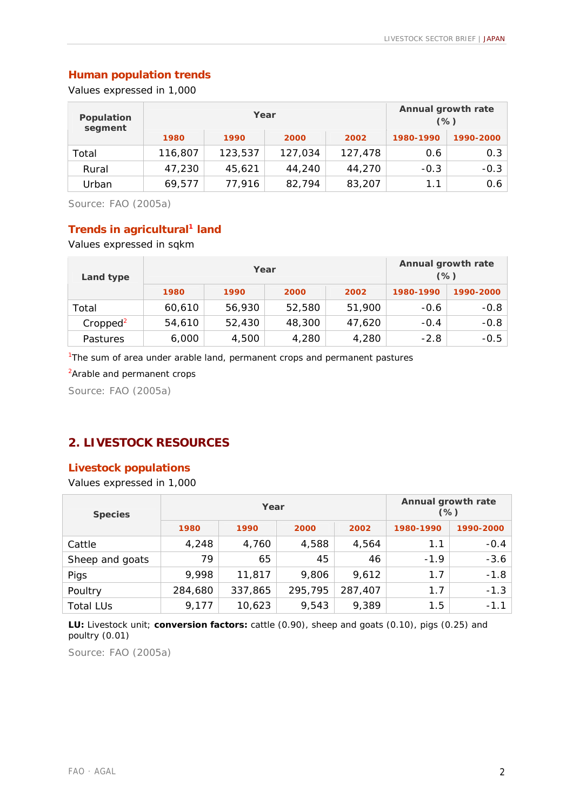## **Human population trends**

Values expressed in 1,000

| Population<br>segment |         | Year    |         | Annual growth rate<br>$(\%)$ |           |           |
|-----------------------|---------|---------|---------|------------------------------|-----------|-----------|
|                       | 1980    | 1990    | 2000    | 2002                         | 1980-1990 | 1990-2000 |
| Total                 | 116,807 | 123,537 | 127,034 | 127,478                      | 0.6       | 0.3       |
| Rural                 | 47,230  | 45,621  | 44,240  | 44,270                       | $-0.3$    | $-0.3$    |
| Urban                 | 69,577  | 77,916  | 82,794  | 83,207                       | 1.1       | 0.6       |

Source: FAO (2005a)

## **Trends in agricultural<sup>1</sup> land**

Values expressed in sqkm

| Land type            |        | Year   | Annual growth rate<br>$(\%)$ |        |           |           |
|----------------------|--------|--------|------------------------------|--------|-----------|-----------|
|                      | 1980   | 1990   | 2000                         | 2002   | 1980-1990 | 1990-2000 |
| Total                | 60,610 | 56,930 | 52,580                       | 51,900 | $-0.6$    | $-0.8$    |
| Cropped <sup>2</sup> | 54,610 | 52,430 | 48,300                       | 47,620 | $-0.4$    | $-0.8$    |
| Pastures             | 6,000  | 4,500  | 4,280                        | 4,280  | $-2.8$    | $-0.5$    |

<sup>1</sup>The sum of area under arable land, permanent crops and permanent pastures

<sup>2</sup> Arable and permanent crops

Source: FAO (2005a)

## **2. LIVESTOCK RESOURCES**

#### **Livestock populations**

Values expressed in 1,000

| <b>Species</b>   |         | Year    | Annual growth rate<br>$(\%)$ |         |           |           |
|------------------|---------|---------|------------------------------|---------|-----------|-----------|
|                  | 1980    | 1990    | 2000                         | 2002    | 1980-1990 | 1990-2000 |
| Cattle           | 4,248   | 4,760   | 4,588                        | 4,564   | 1.1       | $-0.4$    |
| Sheep and goats  | 79      | 65      | 45                           | 46      | $-1.9$    | $-3.6$    |
| Pigs             | 9,998   | 11,817  | 9,806                        | 9,612   | 1.7       | $-1.8$    |
| Poultry          | 284,680 | 337,865 | 295,795                      | 287,407 | 1.7       | $-1.3$    |
| <b>Total LUs</b> | 9,177   | 10,623  | 9,543                        | 9,389   | 1.5       | $-1.1$    |

**LU:** *Livestock unit*; **conversion factors:** cattle (0.90), sheep and goats (0.10), pigs (0.25) and poultry (0.01)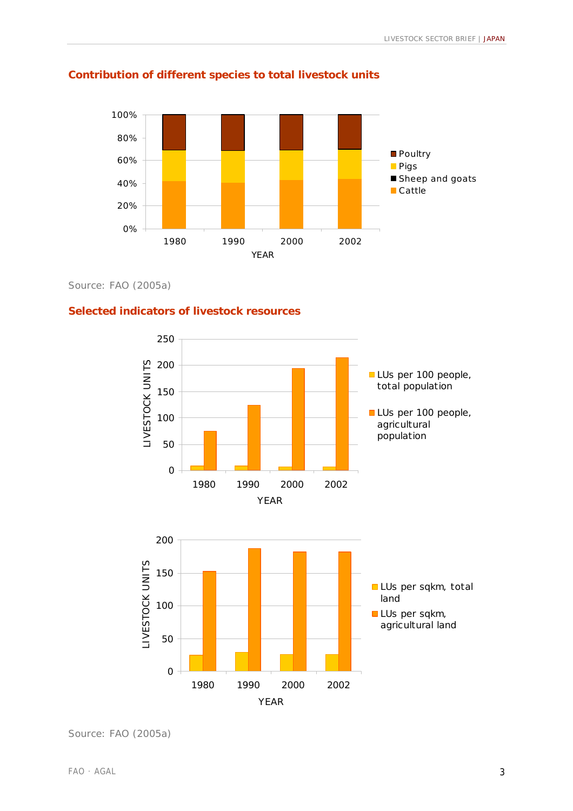

## **Contribution of different species to total livestock units**

Source: FAO (2005a)

#### **Selected indicators of livestock resources**



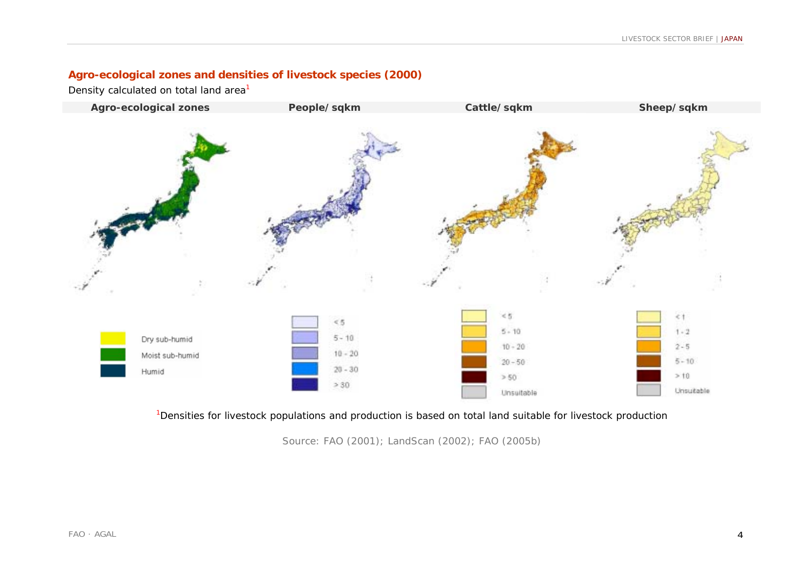## **Agro-ecological zones and densities of livestock species (2000)**

Density calculated on total land area<sup>1</sup>



<sup>1</sup>Densities for livestock populations and production is based on total land suitable for livestock production

Source: FAO (2001); LandScan (2002); FAO (2005b)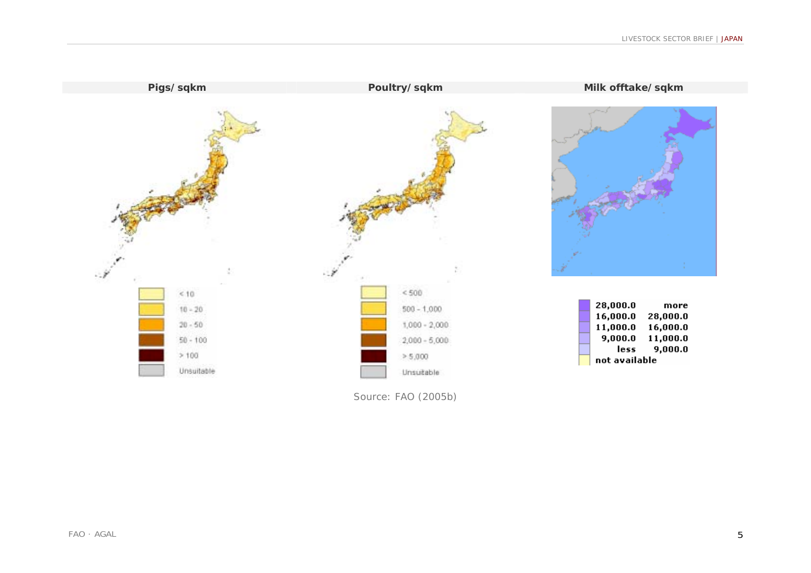

Source: FAO (2005b)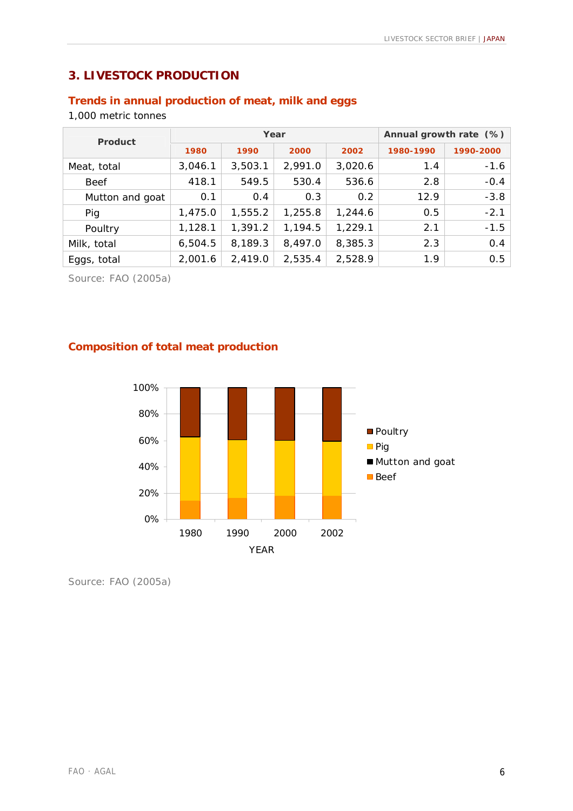## **3. LIVESTOCK PRODUCTION**

## **Trends in annual production of meat, milk and eggs**

1,000 metric tonnes

| <b>Product</b>  |         | Year    | Annual growth rate (%) |         |           |           |
|-----------------|---------|---------|------------------------|---------|-----------|-----------|
|                 | 1980    | 1990    | 2000                   | 2002    | 1980-1990 | 1990-2000 |
| Meat, total     | 3,046.1 | 3,503.1 | 2,991.0                | 3,020.6 | 1.4       | $-1.6$    |
| <b>Beef</b>     | 418.1   | 549.5   | 530.4                  | 536.6   | 2.8       | $-0.4$    |
| Mutton and goat | 0.1     | 0.4     | 0.3                    | 0.2     | 12.9      | $-3.8$    |
| Pig             | 1,475.0 | 1,555.2 | 1,255.8                | 1,244.6 | 0.5       | $-2.1$    |
| Poultry         | 1,128.1 | 1,391.2 | 1,194.5                | 1,229.1 | 2.1       | $-1.5$    |
| Milk, total     | 6,504.5 | 8,189.3 | 8,497.0                | 8,385.3 | 2.3       | 0.4       |
| Eggs, total     | 2,001.6 | 2,419.0 | 2,535.4                | 2,528.9 | 1.9       | 0.5       |

Source: FAO (2005a)

## **Composition of total meat production**

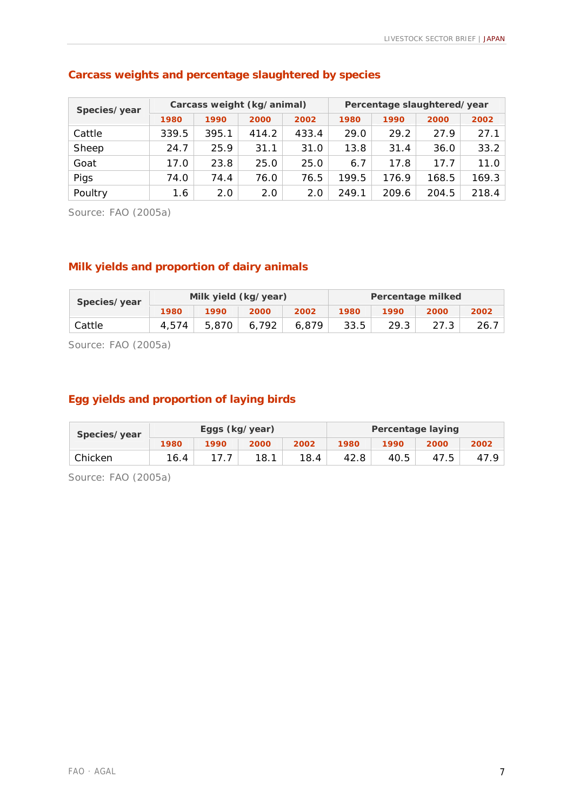| Species/year |       | Carcass weight (kg/animal) |       |       | Percentage slaughtered/year |       |       |       |
|--------------|-------|----------------------------|-------|-------|-----------------------------|-------|-------|-------|
|              | 1980  | 1990                       | 2000  | 2002  | 1980                        | 1990  | 2000  | 2002  |
| Cattle       | 339.5 | 395.1                      | 414.2 | 433.4 | 29.0                        | 29.2  | 27.9  | 27.1  |
| Sheep        | 24.7  | 25.9                       | 31.1  | 31.0  | 13.8                        | 31.4  | 36.0  | 33.2  |
| Goat         | 17.0  | 23.8                       | 25.0  | 25.0  | 6.7                         | 17.8  | 17.7  | 11.0  |
| Pigs         | 74.0  | 74.4                       | 76.0  | 76.5  | 199.5                       | 176.9 | 168.5 | 169.3 |
| Poultry      | 1.6   | 2.0                        | 2.0   | 2.0   | 249.1                       | 209.6 | 204.5 | 218.4 |

## **Carcass weights and percentage slaughtered by species**

Source: FAO (2005a)

## **Milk yields and proportion of dairy animals**

| Species/year |       |       | Milk yield (kg/year) |       | Percentage milked |      |      |       |
|--------------|-------|-------|----------------------|-------|-------------------|------|------|-------|
|              | 1980  | 1990  | 2000                 | 2002  | 1980              | 1990 | 2000 | 2002  |
| Cattle       | 4.574 | 5,870 | 6.792                | 6.879 | 33.5              | 29.3 |      | -26.7 |

Source: FAO (2005a)

## **Egg yields and proportion of laying birds**

| Species/year |      | Eggs (kg/year) |      |      | <b>Percentage laying</b> |      |      |      |
|--------------|------|----------------|------|------|--------------------------|------|------|------|
|              | 1980 | 1990           | 2000 | 2002 | 1980                     | 1990 | 2000 | 2002 |
| Chicken      | 16.4 |                | 18.1 | 18.4 | 42.8                     | 40.5 | 47.5 |      |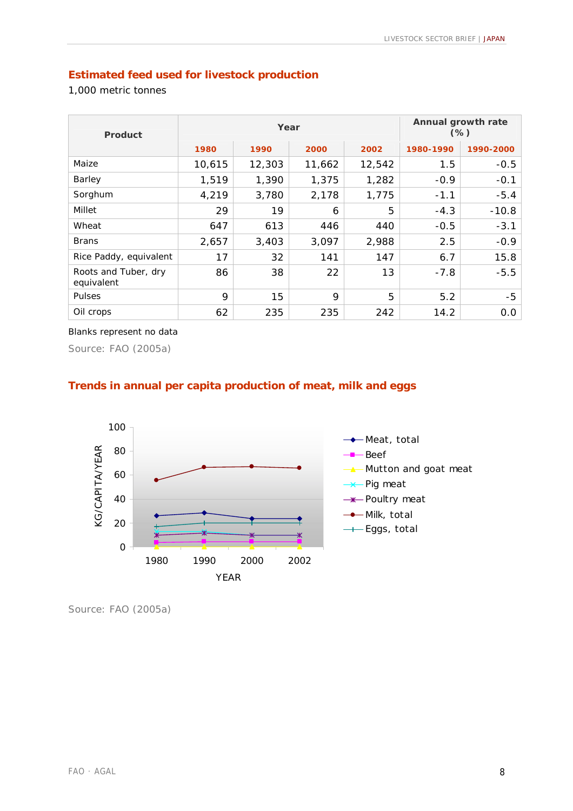## **Estimated feed used for livestock production**

1,000 metric tonnes

| <b>Product</b>                     |        | Year   | Annual growth rate<br>$(\%)$ |        |           |           |
|------------------------------------|--------|--------|------------------------------|--------|-----------|-----------|
|                                    | 1980   | 1990   | 2000                         | 2002   | 1980-1990 | 1990-2000 |
| Maize                              | 10,615 | 12,303 | 11,662                       | 12,542 | 1.5       | $-0.5$    |
| Barley                             | 1,519  | 1,390  | 1,375                        | 1,282  | $-0.9$    | $-0.1$    |
| Sorghum                            | 4,219  | 3,780  | 2,178                        | 1,775  | $-1.1$    | $-5.4$    |
| Millet                             | 29     | 19     | 6                            | 5      | $-4.3$    | $-10.8$   |
| Wheat                              | 647    | 613    | 446                          | 440    | $-0.5$    | $-3.1$    |
| <b>Brans</b>                       | 2,657  | 3,403  | 3,097                        | 2,988  | 2.5       | $-0.9$    |
| Rice Paddy, equivalent             | 17     | 32     | 141                          | 147    | 6.7       | 15.8      |
| Roots and Tuber, dry<br>equivalent | 86     | 38     | 22                           | 13     | $-7.8$    | $-5.5$    |
| <b>Pulses</b>                      | 9      | 15     | 9                            | 5      | 5.2       | $-5$      |
| Oil crops                          | 62     | 235    | 235                          | 242    | 14.2      | 0.0       |

#### Blanks represent no data

Source: FAO (2005a)

## **Trends in annual per capita production of meat, milk and eggs**

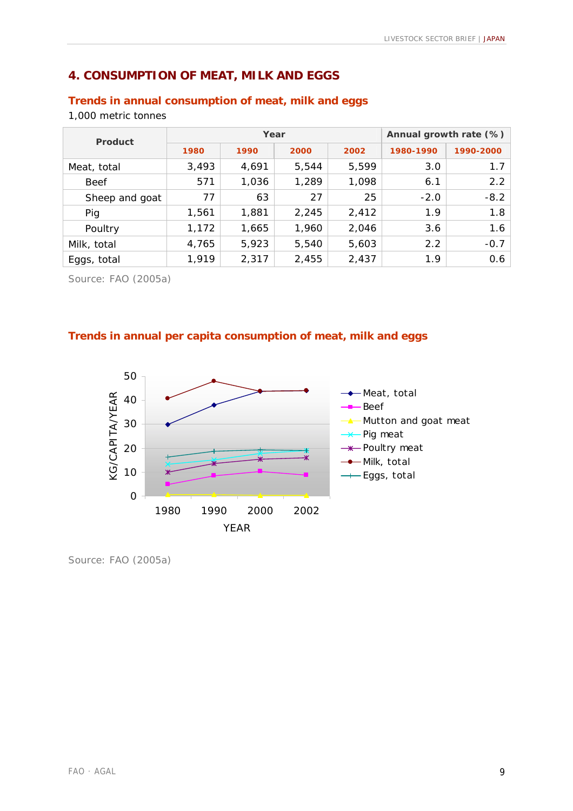## **4. CONSUMPTION OF MEAT, MILK AND EGGS**

## **Trends in annual consumption of meat, milk and eggs**

1,000 metric tonnes

| Product        |       | Year  | Annual growth rate (%) |       |           |           |
|----------------|-------|-------|------------------------|-------|-----------|-----------|
|                | 1980  | 1990  | 2000                   | 2002  | 1980-1990 | 1990-2000 |
| Meat, total    | 3,493 | 4,691 | 5,544                  | 5,599 | 3.0       | 1.7       |
| <b>Beef</b>    | 571   | 1,036 | 1,289                  | 1,098 | 6.1       | 2.2       |
| Sheep and goat | 77    | 63    | 27                     | 25    | $-2.0$    | $-8.2$    |
| Pig            | 1,561 | 1,881 | 2,245                  | 2,412 | 1.9       | 1.8       |
| Poultry        | 1,172 | 1,665 | 1,960                  | 2,046 | 3.6       | 1.6       |
| Milk, total    | 4,765 | 5,923 | 5,540                  | 5,603 | 2.2       | $-0.7$    |
| Eggs, total    | 1,919 | 2,317 | 2,455                  | 2,437 | 1.9       | 0.6       |

Source: FAO (2005a)

#### **Trends in annual per capita consumption of meat, milk and eggs**

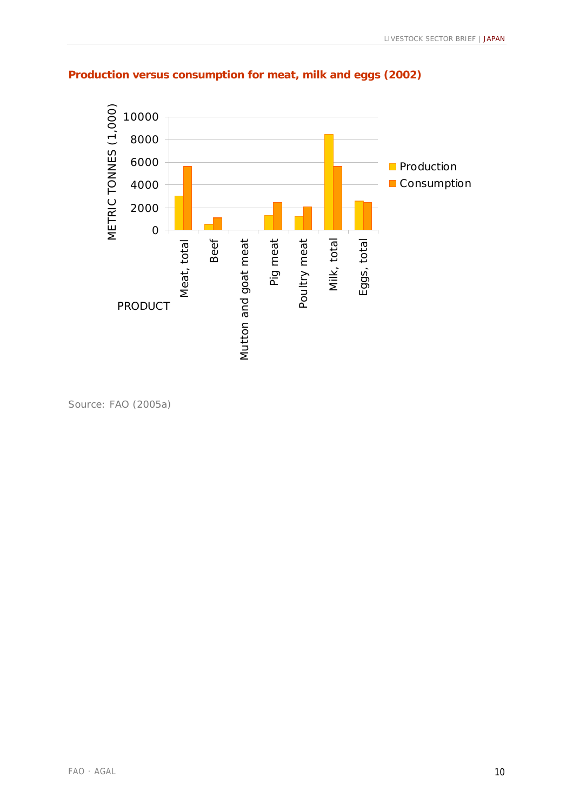

## **Production versus consumption for meat, milk and eggs (2002)**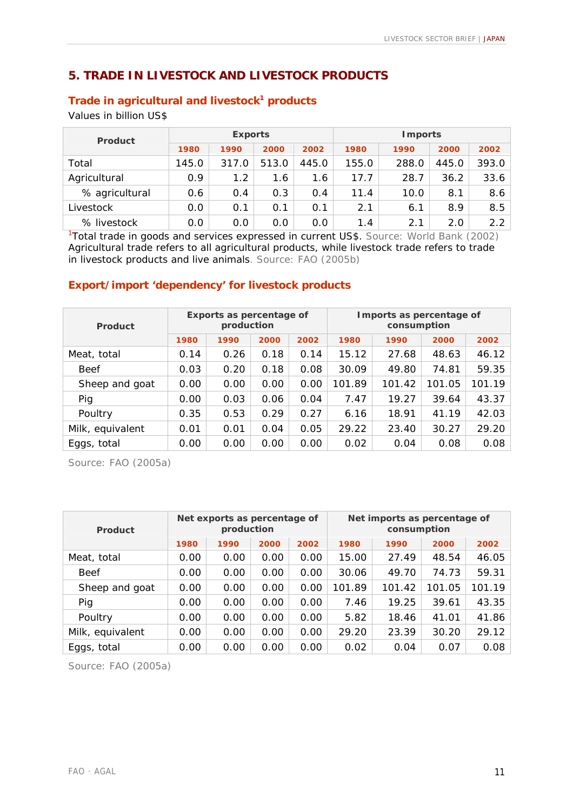## **5. TRADE IN LIVESTOCK AND LIVESTOCK PRODUCTS**

#### **Trade in agricultural and livestock<sup>1</sup> products**

Values in billion US\$

| <b>Product</b> |       | <b>Exports</b> |       |       | <b>I</b> mports |       |       |       |
|----------------|-------|----------------|-------|-------|-----------------|-------|-------|-------|
|                | 1980  | 1990           | 2000  | 2002  | 1980            | 1990  | 2000  | 2002  |
| Total          | 145.0 | 317.0          | 513.0 | 445.0 | 155.0           | 288.0 | 445.0 | 393.0 |
| Agricultural   | 0.9   | 1.2            | 1.6   | 1.6   | 17.7            | 28.7  | 36.2  | 33.6  |
| % agricultural | 0.6   | 0.4            | 0.3   | 0.4   | 11.4            | 10.0  | 8.1   | 8.6   |
| Livestock      | 0.0   | 0.1            | 0.1   | 0.1   | 2.1             | 6.1   | 8.9   | 8.5   |
| % livestock    | 0.0   | 0.0            | 0.0   | 0.0   | 1.4             | 2.1   | 2.0   | 2.2   |

<sup>1</sup>Total trade in goods and services expressed in current US\$. Source: World Bank (2002) Agricultural trade refers to all agricultural products, while livestock trade refers to trade in livestock products and live animals. Source: FAO (2005b)

#### **Export/import 'dependency' for livestock products**

| <b>Product</b>   |      | <b>Exports as percentage of</b><br>production |      |      | Imports as percentage of<br>consumption |        |        |        |  |  |
|------------------|------|-----------------------------------------------|------|------|-----------------------------------------|--------|--------|--------|--|--|
|                  | 1980 | 1990                                          | 2000 | 2002 | 1980                                    | 1990   | 2000   | 2002   |  |  |
| Meat, total      | 0.14 | 0.26                                          | 0.18 | 0.14 | 15.12                                   | 27.68  | 48.63  | 46.12  |  |  |
| <b>Beef</b>      | 0.03 | 0.20                                          | 0.18 | 0.08 | 30.09                                   | 49.80  | 74.81  | 59.35  |  |  |
| Sheep and goat   | 0.00 | 0.00                                          | 0.00 | 0.00 | 101.89                                  | 101.42 | 101.05 | 101.19 |  |  |
| Pig              | 0.00 | 0.03                                          | 0.06 | 0.04 | 7.47                                    | 19.27  | 39.64  | 43.37  |  |  |
| Poultry          | 0.35 | 0.53                                          | 0.29 | 0.27 | 6.16                                    | 18.91  | 41.19  | 42.03  |  |  |
| Milk, equivalent | 0.01 | 0.01                                          | 0.04 | 0.05 | 29.22                                   | 23.40  | 30.27  | 29.20  |  |  |
| Eggs, total      | 0.00 | 0.00                                          | 0.00 | 0.00 | 0.02                                    | 0.04   | 0.08   | 0.08   |  |  |

Source: FAO (2005a)

| <b>Product</b>   |      | Net exports as percentage of<br>production |      |      | Net imports as percentage of<br>consumption |        |        |        |  |  |
|------------------|------|--------------------------------------------|------|------|---------------------------------------------|--------|--------|--------|--|--|
|                  | 1980 | 1990                                       | 2000 | 2002 | 1980                                        | 1990   | 2000   | 2002   |  |  |
| Meat, total      | 0.00 | 0.00                                       | 0.00 | 0.00 | 15.00                                       | 27.49  | 48.54  | 46.05  |  |  |
| <b>Beef</b>      | 0.00 | 0.00                                       | 0.00 | 0.00 | 30.06                                       | 49.70  | 74.73  | 59.31  |  |  |
| Sheep and goat   | 0.00 | 0.00                                       | 0.00 | 0.00 | 101.89                                      | 101.42 | 101.05 | 101.19 |  |  |
| Pig              | 0.00 | 0.00                                       | 0.00 | 0.00 | 7.46                                        | 19.25  | 39.61  | 43.35  |  |  |
| Poultry          | 0.00 | 0.00                                       | 0.00 | 0.00 | 5.82                                        | 18.46  | 41.01  | 41.86  |  |  |
| Milk, equivalent | 0.00 | 0.00                                       | 0.00 | 0.00 | 29.20                                       | 23.39  | 30.20  | 29.12  |  |  |
| Eggs, total      | 0.00 | 0.00                                       | 0.00 | 0.00 | 0.02                                        | 0.04   | 0.07   | 0.08   |  |  |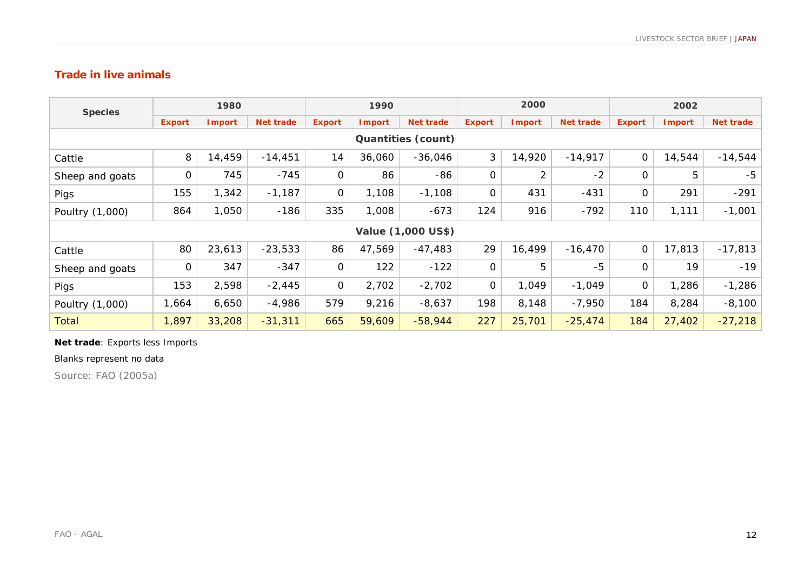#### **Trade in live animals**

| <b>Species</b>            | 1980          |               |                  | 1990          |               |                  | 2000          |                |                  | 2002          |               |                  |
|---------------------------|---------------|---------------|------------------|---------------|---------------|------------------|---------------|----------------|------------------|---------------|---------------|------------------|
|                           | <b>Export</b> | <b>Import</b> | <b>Net trade</b> | <b>Export</b> | <b>Import</b> | <b>Net trade</b> | <b>Export</b> | <b>Import</b>  | <b>Net trade</b> | <b>Export</b> | <b>Import</b> | <b>Net trade</b> |
| <b>Quantities (count)</b> |               |               |                  |               |               |                  |               |                |                  |               |               |                  |
| Cattle                    | 8             | 14,459        | $-14,451$        | 14            | 36,060        | $-36,046$        | 3             | 14,920         | $-14,917$        | $\mathsf O$   | 14,544        | $-14,544$        |
| Sheep and goats           | 0             | 745           | $-745$           | 0             | 86            | -86              | $\mathbf 0$   | $\overline{2}$ | $-2$             | 0             | 5             | $-5$             |
| Pigs                      | 155           | 1,342         | $-1,187$         | $\mathbf 0$   | 1,108         | $-1,108$         | $\mathbf 0$   | 431            | $-431$           | $\mathbf 0$   | 291           | $-291$           |
| Poultry (1,000)           | 864           | 1,050         | $-186$           | 335           | 1,008         | $-673$           | 124           | 916            | $-792$           | 110           | 1,111         | $-1,001$         |
| Value (1,000 US\$)        |               |               |                  |               |               |                  |               |                |                  |               |               |                  |
| Cattle                    | 80            | 23,613        | $-23,533$        | 86            | 47,569        | $-47,483$        | 29            | 16,499         | $-16,470$        | $\mathbf 0$   | 17,813        | $-17,813$        |
| Sheep and goats           | 0             | 347           | $-347$           | $\mathbf 0$   | 122           | $-122$           | $\mathbf 0$   | 5              | $-5$             | 0             | 19            | $-19$            |
| Pigs                      | 153           | 2,598         | $-2,445$         | $\mathsf{O}$  | 2,702         | $-2,702$         | $\mathbf 0$   | 1,049          | $-1,049$         | $\mathbf 0$   | 1,286         | $-1,286$         |
| Poultry (1,000)           | 1,664         | 6,650         | $-4,986$         | 579           | 9,216         | $-8,637$         | 198           | 8,148          | $-7,950$         | 184           | 8,284         | $-8,100$         |
| <b>Total</b>              | 1,897         | 33,208        | $-31,311$        | 665           | 59,609        | $-58,944$        | 227           | 25,701         | $-25,474$        | 184           | 27,402        | $-27,218$        |

#### **Net trade**: Exports less Imports

#### Blanks represent no data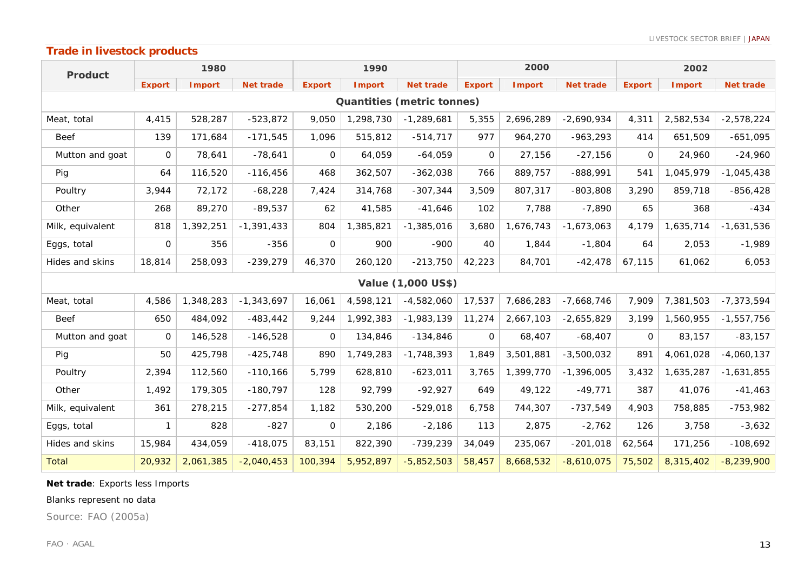## **Trade in livestock products**

| <b>Product</b>                    | 1980          |               |                  | 1990          |               |                           | 2000          |               |                  | 2002          |               |                  |
|-----------------------------------|---------------|---------------|------------------|---------------|---------------|---------------------------|---------------|---------------|------------------|---------------|---------------|------------------|
|                                   | <b>Export</b> | <b>Import</b> | <b>Net trade</b> | <b>Export</b> | <b>Import</b> | <b>Net trade</b>          | <b>Export</b> | <b>Import</b> | <b>Net trade</b> | <b>Export</b> | <b>Import</b> | <b>Net trade</b> |
| <b>Quantities (metric tonnes)</b> |               |               |                  |               |               |                           |               |               |                  |               |               |                  |
| Meat, total                       | 4,415         | 528,287       | $-523,872$       | 9,050         | 1,298,730     | $-1,289,681$              | 5,355         | 2,696,289     | $-2,690,934$     | 4,311         | 2,582,534     | $-2,578,224$     |
| <b>Beef</b>                       | 139           | 171,684       | $-171,545$       | 1,096         | 515,812       | $-514,717$                | 977           | 964,270       | $-963,293$       | 414           | 651,509       | $-651,095$       |
| Mutton and goat                   | 0             | 78,641        | $-78,641$        | $\Omega$      | 64,059        | $-64,059$                 | $\Omega$      | 27,156        | $-27,156$        | 0             | 24,960        | $-24,960$        |
| Pig                               | 64            | 116,520       | $-116,456$       | 468           | 362,507       | $-362,038$                | 766           | 889,757       | $-888,991$       | 541           | 1,045,979     | $-1,045,438$     |
| Poultry                           | 3,944         | 72,172        | $-68,228$        | 7,424         | 314,768       | $-307,344$                | 3,509         | 807,317       | $-803,808$       | 3,290         | 859,718       | $-856, 428$      |
| Other                             | 268           | 89,270        | $-89,537$        | 62            | 41,585        | $-41,646$                 | 102           | 7,788         | $-7,890$         | 65            | 368           | $-434$           |
| Milk, equivalent                  | 818           | 1,392,251     | $-1,391,433$     | 804           | 1,385,821     | $-1,385,016$              | 3,680         | 1,676,743     | $-1,673,063$     | 4,179         | 1,635,714     | $-1,631,536$     |
| Eggs, total                       | 0             | 356           | $-356$           | $\Omega$      | 900           | $-900$                    | 40            | 1,844         | $-1,804$         | 64            | 2,053         | $-1,989$         |
| Hides and skins                   | 18,814        | 258,093       | $-239,279$       | 46,370        | 260,120       | $-213,750$                | 42,223        | 84,701        | $-42,478$        | 67,115        | 61,062        | 6,053            |
|                                   |               |               |                  |               |               | <b>Value (1,000 US\$)</b> |               |               |                  |               |               |                  |
| Meat, total                       | 4,586         | 1,348,283     | $-1,343,697$     | 16,061        | 4,598,121     | $-4,582,060$              | 17,537        | 7,686,283     | $-7,668,746$     | 7,909         | 7,381,503     | $-7, 373, 594$   |
| <b>Beef</b>                       | 650           | 484,092       | $-483, 442$      | 9,244         | 1,992,383     | $-1,983,139$              | 11,274        | 2,667,103     | $-2,655,829$     | 3,199         | 1,560,955     | $-1,557,756$     |
| Mutton and goat                   | $\Omega$      | 146,528       | $-146,528$       | $\Omega$      | 134,846       | $-134,846$                | $\mathbf 0$   | 68,407        | $-68,407$        | 0             | 83,157        | $-83,157$        |
| Pig                               | 50            | 425,798       | $-425,748$       | 890           | 1,749,283     | $-1,748,393$              | 1,849         | 3,501,881     | $-3,500,032$     | 891           | 4,061,028     | $-4,060,137$     |
| Poultry                           | 2,394         | 112,560       | $-110,166$       | 5,799         | 628,810       | $-623,011$                | 3,765         | 1,399,770     | $-1,396,005$     | 3,432         | 1,635,287     | $-1,631,855$     |
| Other                             | 1,492         | 179,305       | $-180,797$       | 128           | 92,799        | $-92,927$                 | 649           | 49,122        | $-49,771$        | 387           | 41,076        | $-41,463$        |
| Milk, equivalent                  | 361           | 278,215       | $-277,854$       | 1,182         | 530,200       | $-529,018$                | 6,758         | 744,307       | $-737,549$       | 4,903         | 758,885       | $-753,982$       |
| Eggs, total                       | 1             | 828           | $-827$           | $\mathbf 0$   | 2,186         | $-2,186$                  | 113           | 2,875         | $-2,762$         | 126           | 3,758         | $-3,632$         |
| Hides and skins                   | 15,984        | 434,059       | $-418,075$       | 83,151        | 822,390       | $-739,239$                | 34,049        | 235,067       | $-201,018$       | 62,564        | 171,256       | $-108,692$       |
| <b>Total</b>                      | 20,932        | 2,061,385     | $-2,040,453$     | 100,394       | 5,952,897     | $-5,852,503$              | 58,457        | 8,668,532     | $-8,610,075$     | 75,502        | 8,315,402     | $-8,239,900$     |

#### **Net trade**: Exports less Imports

#### Blanks represent no data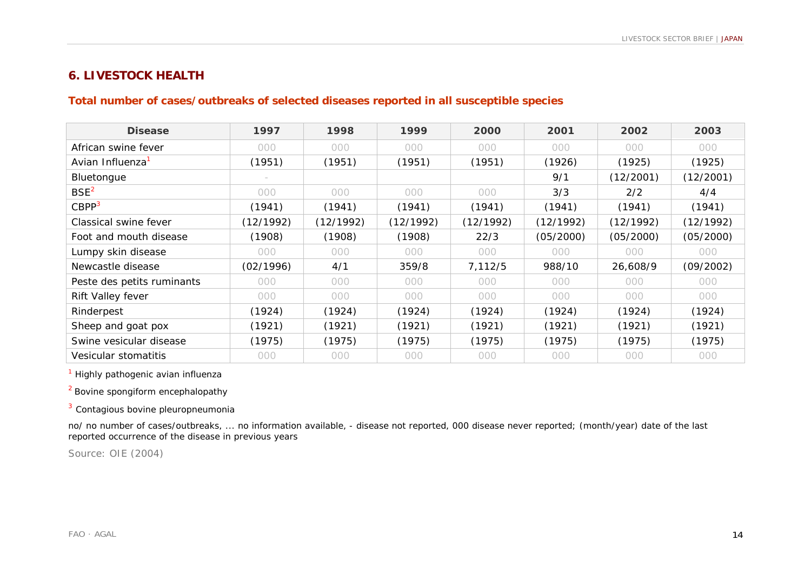## **6. LIVESTOCK HEALTH**

## **Total number of cases/outbreaks of selected diseases reported in all susceptible species**

| <b>Disease</b>               | 1997      | 1998      | 1999      | 2000      | 2001      | 2002      | 2003      |
|------------------------------|-----------|-----------|-----------|-----------|-----------|-----------|-----------|
| African swine fever          | 000       | 000       | 000       | 000       | 000       | 000       | 000       |
| Avian Influenza <sup>1</sup> | (1951)    | (1951)    | (1951)    | (1951)    | (1926)    | (1925)    | (1925)    |
| Bluetongue                   |           |           |           |           | 9/1       | (12/2001) | (12/2001) |
| BSE <sup>2</sup>             | 000       | 000       | 000       | 000       | 3/3       | 2/2       | 4/4       |
| CBPP <sup>3</sup>            | (1941)    | (1941)    | (1941)    | (1941)    | (1941)    | (1941)    | (1941)    |
| Classical swine fever        | (12/1992) | (12/1992) | (12/1992) | (12/1992) | (12/1992) | (12/1992) | (12/1992) |
| Foot and mouth disease       | (1908)    | (1908)    | (1908)    | 22/3      | (05/2000) | (05/2000) | (05/2000) |
| Lumpy skin disease           | 000       | 000       | 000       | 000       | 000       | 000       | 000       |
| Newcastle disease            | (02/1996) | 4/1       | 359/8     | 7,112/5   | 988/10    | 26,608/9  | (09/2002) |
| Peste des petits ruminants   | 000       | 000       | 000       | 000       | 000       | 000       | 000       |
| Rift Valley fever            | 000       | 000       | 000       | 000       | 000       | 000       | 000       |
| Rinderpest                   | (1924)    | (1924)    | (1924)    | (1924)    | (1924)    | (1924)    | (1924)    |
| Sheep and goat pox           | (1921)    | (1921)    | (1921)    | (1921)    | (1921)    | (1921)    | (1921)    |
| Swine vesicular disease      | (1975)    | (1975)    | (1975)    | (1975)    | (1975)    | (1975)    | (1975)    |
| Vesicular stomatitis         | 000       | 000       | 000       | 000       | 000       | 000       | 000       |

<sup>1</sup> Highly pathogenic avian influenza

2 Bovine spongiform encephalopathy

<sup>3</sup> Contagious bovine pleuropneumonia

no/ no number of cases/outbreaks, ... no information available, - disease not reported, 000 disease never reported; (month/year) date of the last reported occurrence of the disease in previous years

Source: OIE (2004)